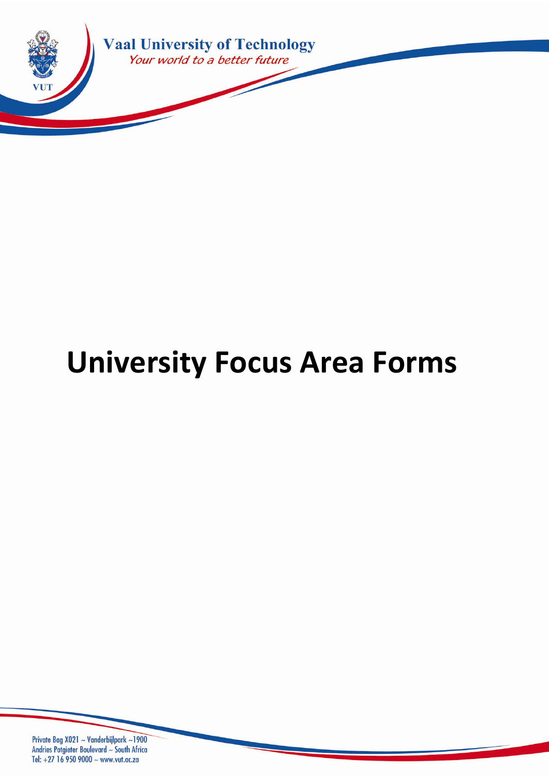

# **University Focus Area Forms**

Private Bag X021 ~ Vanderbijlpark ~1900 Andries Potgieter Boulevard ~ South Africa Tel: +27 16 950 9000 ~ www.vut.ac.za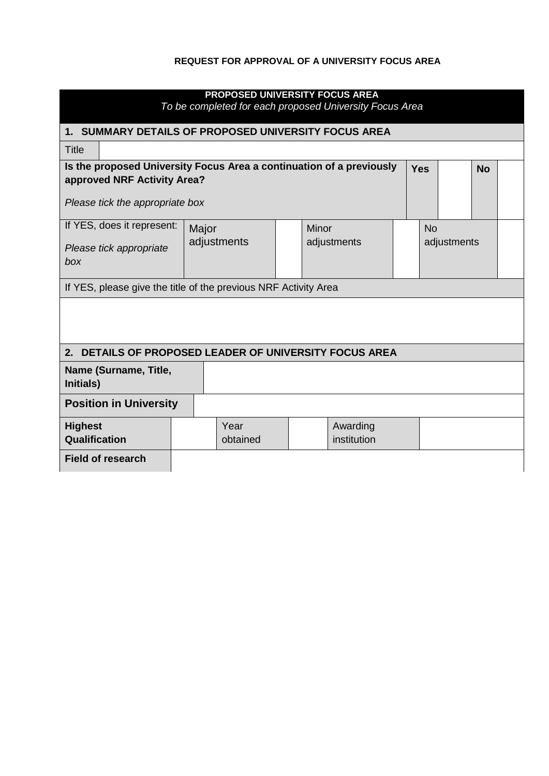#### **REQUEST FOR APPROVAL OF A UNIVERSITY FOCUS AREA**

| PROPOSED UNIVERSITY FOCUS AREA<br>To be completed for each proposed University Focus Area           |                  |       |                         |  |            |             |  |
|-----------------------------------------------------------------------------------------------------|------------------|-------|-------------------------|--|------------|-------------|--|
| 1. SUMMARY DETAILS OF PROPOSED UNIVERSITY FOCUS AREA                                                |                  |       |                         |  |            |             |  |
| <b>Title</b>                                                                                        |                  |       |                         |  |            |             |  |
| Is the proposed University Focus Area a continuation of a previously<br>approved NRF Activity Area? |                  |       |                         |  | <b>Yes</b> | <b>No</b>   |  |
| Please tick the appropriate box                                                                     |                  |       |                         |  |            |             |  |
| If YES, does it represent:                                                                          | Major            | Minor |                         |  | <b>No</b>  |             |  |
| Please tick appropriate<br>box                                                                      | adjustments      |       | adjustments             |  |            | adjustments |  |
| If YES, please give the title of the previous NRF Activity Area                                     |                  |       |                         |  |            |             |  |
| 2. DETAILS OF PROPOSED LEADER OF UNIVERSITY FOCUS AREA                                              |                  |       |                         |  |            |             |  |
| Name (Surname, Title,<br>Initials)                                                                  |                  |       |                         |  |            |             |  |
| <b>Position in University</b>                                                                       |                  |       |                         |  |            |             |  |
| <b>Highest</b><br>Qualification                                                                     | Year<br>obtained |       | Awarding<br>institution |  |            |             |  |
| <b>Field of research</b>                                                                            |                  |       |                         |  |            |             |  |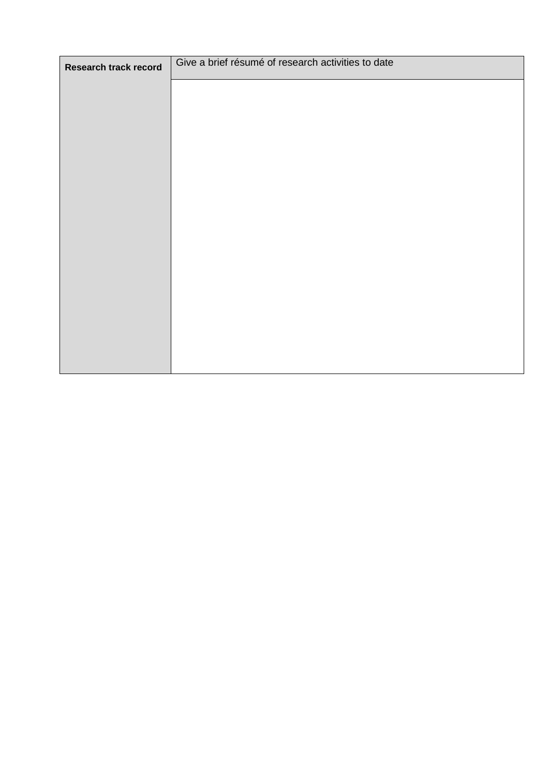| Research track record | Give a brief résumé of research activities to date |
|-----------------------|----------------------------------------------------|
|                       |                                                    |
|                       |                                                    |
|                       |                                                    |
|                       |                                                    |
|                       |                                                    |
|                       |                                                    |
|                       |                                                    |
|                       |                                                    |
|                       |                                                    |
|                       |                                                    |
|                       |                                                    |
|                       |                                                    |
|                       |                                                    |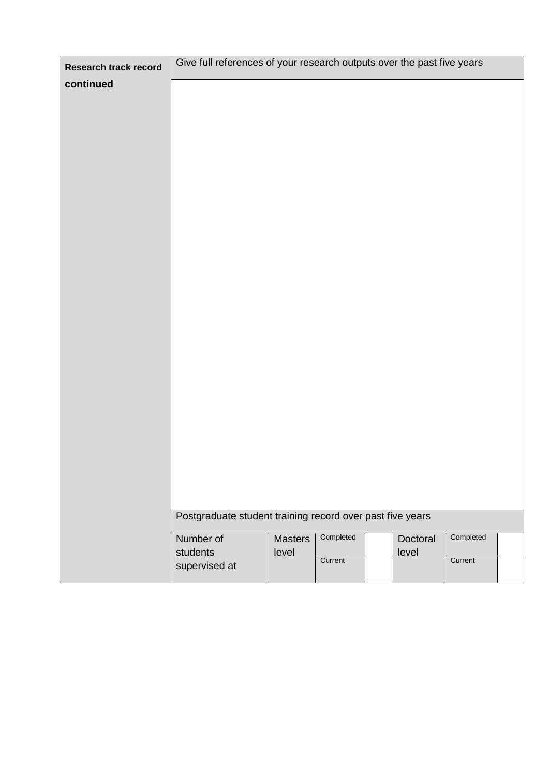| Research track record | Give full references of your research outputs over the past five years |         |           |          |           |  |
|-----------------------|------------------------------------------------------------------------|---------|-----------|----------|-----------|--|
| continued             |                                                                        |         |           |          |           |  |
|                       |                                                                        |         |           |          |           |  |
|                       |                                                                        |         |           |          |           |  |
|                       |                                                                        |         |           |          |           |  |
|                       |                                                                        |         |           |          |           |  |
|                       |                                                                        |         |           |          |           |  |
|                       |                                                                        |         |           |          |           |  |
|                       |                                                                        |         |           |          |           |  |
|                       |                                                                        |         |           |          |           |  |
|                       |                                                                        |         |           |          |           |  |
|                       |                                                                        |         |           |          |           |  |
|                       |                                                                        |         |           |          |           |  |
|                       |                                                                        |         |           |          |           |  |
|                       |                                                                        |         |           |          |           |  |
|                       |                                                                        |         |           |          |           |  |
|                       |                                                                        |         |           |          |           |  |
|                       |                                                                        |         |           |          |           |  |
|                       |                                                                        |         |           |          |           |  |
|                       |                                                                        |         |           |          |           |  |
|                       |                                                                        |         |           |          |           |  |
|                       |                                                                        |         |           |          |           |  |
|                       |                                                                        |         |           |          |           |  |
|                       |                                                                        |         |           |          |           |  |
|                       |                                                                        |         |           |          |           |  |
|                       |                                                                        |         |           |          |           |  |
|                       |                                                                        |         |           |          |           |  |
|                       |                                                                        |         |           |          |           |  |
|                       | Postgraduate student training record over past five years              |         |           |          |           |  |
|                       | Number of                                                              | Masters | Completed | Doctoral | Completed |  |
|                       | students                                                               | level   |           | level    |           |  |
|                       | supervised at                                                          |         | Current   |          | Current   |  |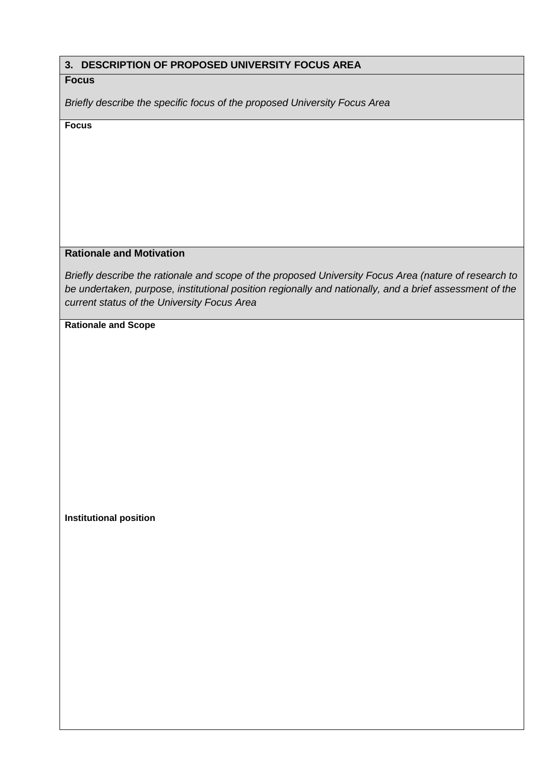#### **3. DESCRIPTION OF PROPOSED UNIVERSITY FOCUS AREA**

#### **Focus**

*Briefly describe the specific focus of the proposed University Focus Area*

**Focus**

### **Rationale and Motivation**

*Briefly describe the rationale and scope of the proposed University Focus Area (nature of research to be undertaken, purpose, institutional position regionally and nationally, and a brief assessment of the current status of the University Focus Area*

**Rationale and Scope**

**Institutional position**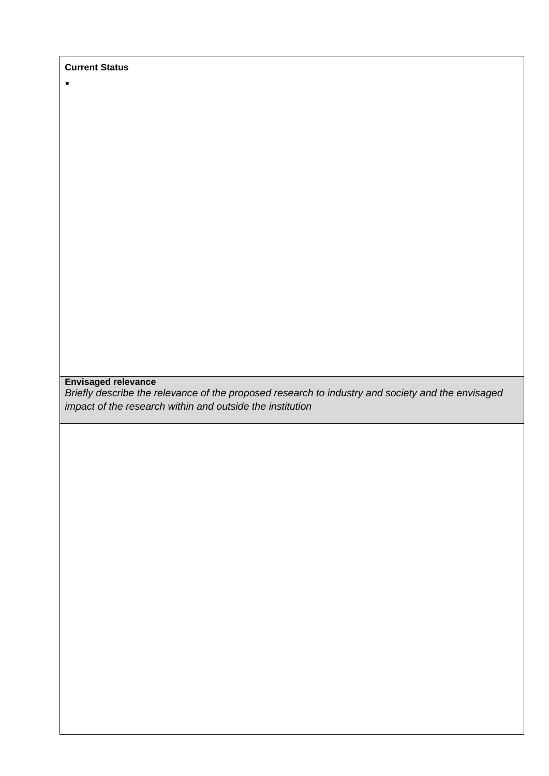**Current Status**

 $\blacksquare$ 

## **Envisaged relevance**

*Briefly describe the relevance of the proposed research to industry and society and the envisaged impact of the research within and outside the institution*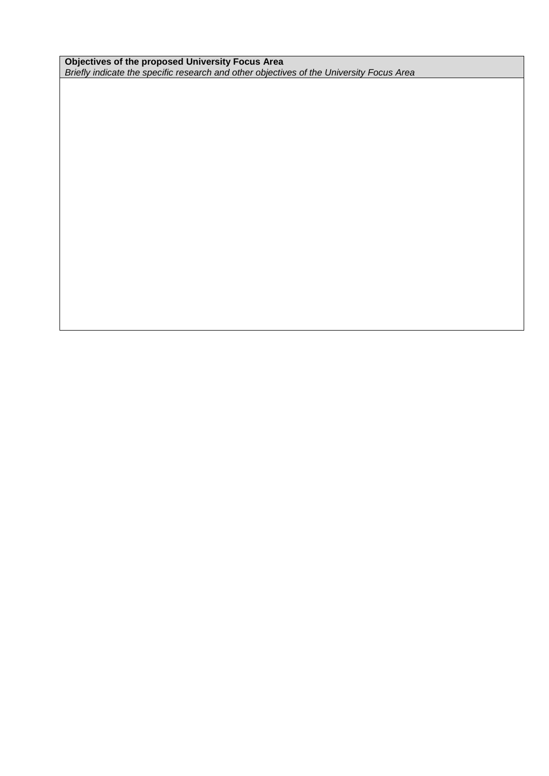**Objectives of the proposed University Focus Area** *Briefly indicate the specific research and other objectives of the University Focus Area*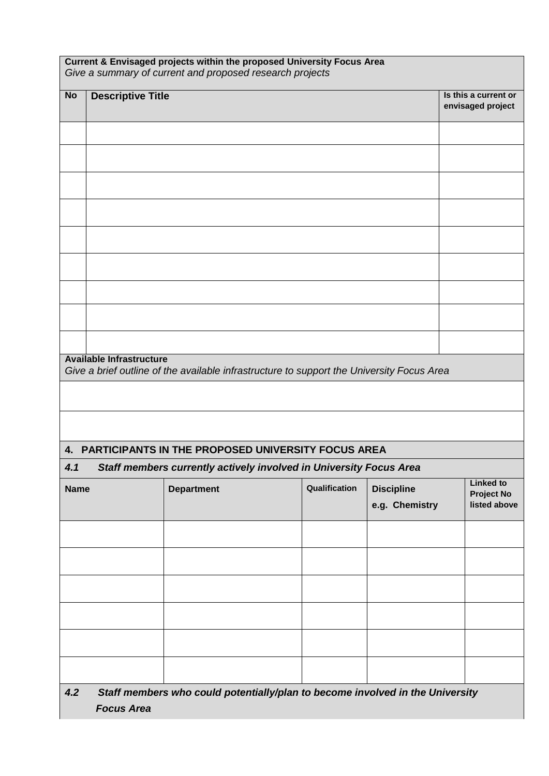| Current & Envisaged projects within the proposed University Focus Area<br>Give a summary of current and proposed research projects |                                                                                                    |                                                                                           |               |                                     |  |                                                       |
|------------------------------------------------------------------------------------------------------------------------------------|----------------------------------------------------------------------------------------------------|-------------------------------------------------------------------------------------------|---------------|-------------------------------------|--|-------------------------------------------------------|
| <b>No</b>                                                                                                                          | <b>Descriptive Title</b>                                                                           |                                                                                           |               |                                     |  | Is this a current or<br>envisaged project             |
|                                                                                                                                    |                                                                                                    |                                                                                           |               |                                     |  |                                                       |
|                                                                                                                                    |                                                                                                    |                                                                                           |               |                                     |  |                                                       |
|                                                                                                                                    |                                                                                                    |                                                                                           |               |                                     |  |                                                       |
|                                                                                                                                    |                                                                                                    |                                                                                           |               |                                     |  |                                                       |
|                                                                                                                                    |                                                                                                    |                                                                                           |               |                                     |  |                                                       |
|                                                                                                                                    |                                                                                                    |                                                                                           |               |                                     |  |                                                       |
|                                                                                                                                    |                                                                                                    |                                                                                           |               |                                     |  |                                                       |
|                                                                                                                                    |                                                                                                    |                                                                                           |               |                                     |  |                                                       |
|                                                                                                                                    |                                                                                                    |                                                                                           |               |                                     |  |                                                       |
|                                                                                                                                    | <b>Available Infrastructure</b>                                                                    | Give a brief outline of the available infrastructure to support the University Focus Area |               |                                     |  |                                                       |
|                                                                                                                                    |                                                                                                    |                                                                                           |               |                                     |  |                                                       |
|                                                                                                                                    |                                                                                                    |                                                                                           |               |                                     |  |                                                       |
|                                                                                                                                    |                                                                                                    | 4. PARTICIPANTS IN THE PROPOSED UNIVERSITY FOCUS AREA                                     |               |                                     |  |                                                       |
| 4.1                                                                                                                                |                                                                                                    | Staff members currently actively involved in University Focus Area                        |               |                                     |  |                                                       |
| <b>Name</b>                                                                                                                        |                                                                                                    | <b>Department</b>                                                                         | Qualification | <b>Discipline</b><br>e.g. Chemistry |  | <b>Linked to</b><br><b>Project No</b><br>listed above |
|                                                                                                                                    |                                                                                                    |                                                                                           |               |                                     |  |                                                       |
|                                                                                                                                    |                                                                                                    |                                                                                           |               |                                     |  |                                                       |
|                                                                                                                                    |                                                                                                    |                                                                                           |               |                                     |  |                                                       |
|                                                                                                                                    |                                                                                                    |                                                                                           |               |                                     |  |                                                       |
|                                                                                                                                    |                                                                                                    |                                                                                           |               |                                     |  |                                                       |
|                                                                                                                                    |                                                                                                    |                                                                                           |               |                                     |  |                                                       |
| 4.2                                                                                                                                | Staff members who could potentially/plan to become involved in the University<br><b>Focus Area</b> |                                                                                           |               |                                     |  |                                                       |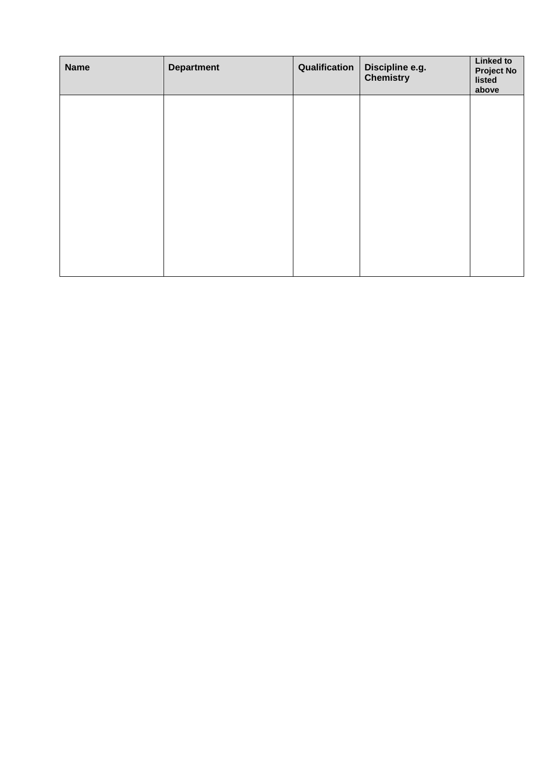| <b>Name</b> | <b>Department</b> | Qualification | Discipline e.g.<br><b>Chemistry</b> | <b>Linked to</b><br><b>Project No</b><br>listed<br>above |
|-------------|-------------------|---------------|-------------------------------------|----------------------------------------------------------|
|             |                   |               |                                     |                                                          |
|             |                   |               |                                     |                                                          |
|             |                   |               |                                     |                                                          |
|             |                   |               |                                     |                                                          |
|             |                   |               |                                     |                                                          |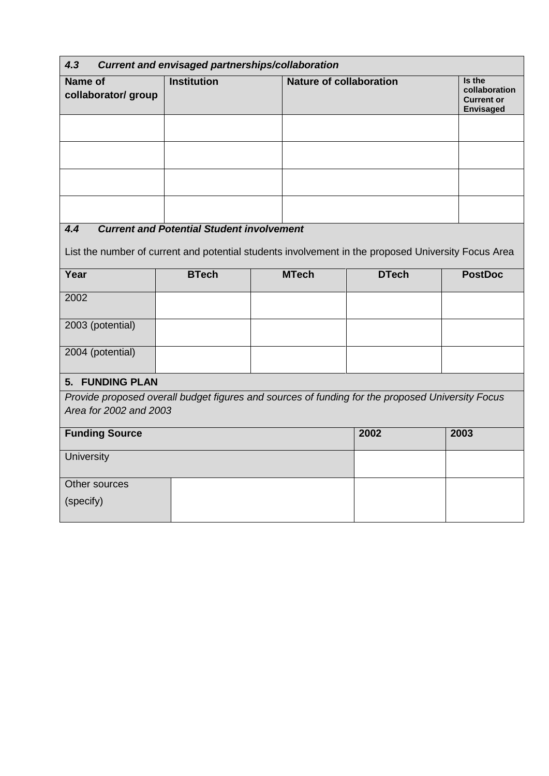| 4.3                            | <b>Current and envisaged partnerships/collaboration</b>                                             |              |                                |                |  |  |
|--------------------------------|-----------------------------------------------------------------------------------------------------|--------------|--------------------------------|----------------|--|--|
| Name of<br>collaborator/ group | <b>Institution</b>                                                                                  |              | <b>Nature of collaboration</b> |                |  |  |
|                                |                                                                                                     |              |                                |                |  |  |
|                                |                                                                                                     |              |                                |                |  |  |
|                                |                                                                                                     |              |                                |                |  |  |
|                                |                                                                                                     |              |                                |                |  |  |
| 4.4                            | <b>Current and Potential Student involvement</b>                                                    |              |                                |                |  |  |
|                                | List the number of current and potential students involvement in the proposed University Focus Area |              |                                |                |  |  |
| Year                           | <b>BTech</b>                                                                                        | <b>MTech</b> | <b>DTech</b>                   | <b>PostDoc</b> |  |  |
| 2002                           |                                                                                                     |              |                                |                |  |  |
| 2003 (potential)               |                                                                                                     |              |                                |                |  |  |
| 2004 (potential)               |                                                                                                     |              |                                |                |  |  |
| 5. FUNDING PLAN                |                                                                                                     |              |                                |                |  |  |
| Area for 2002 and 2003         | Provide proposed overall budget figures and sources of funding for the proposed University Focus    |              |                                |                |  |  |
| <b>Funding Source</b>          |                                                                                                     |              | 2002                           | 2003           |  |  |
| University                     |                                                                                                     |              |                                |                |  |  |
| Other sources                  |                                                                                                     |              |                                |                |  |  |
| (specify)                      |                                                                                                     |              |                                |                |  |  |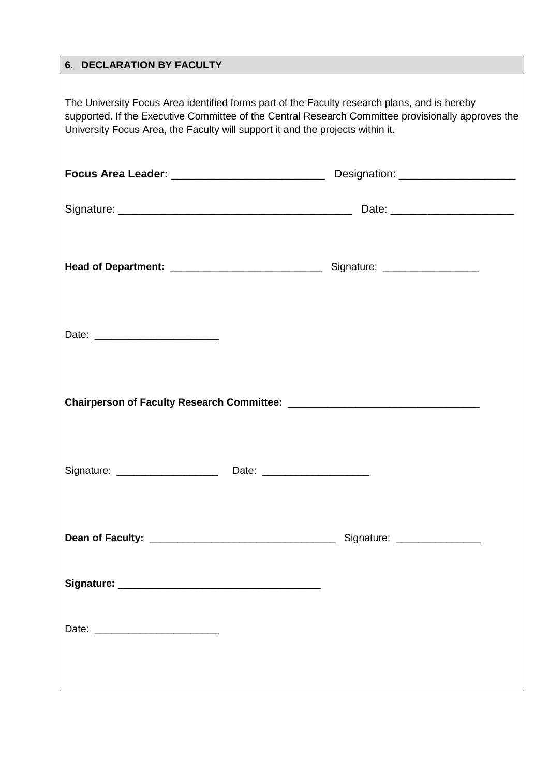#### **6. DECLARATION BY FACULTY**

The University Focus Area identified forms part of the Faculty research plans, and is hereby supported. If the Executive Committee of the Central Research Committee provisionally approves the University Focus Area, the Faculty will support it and the projects within it.